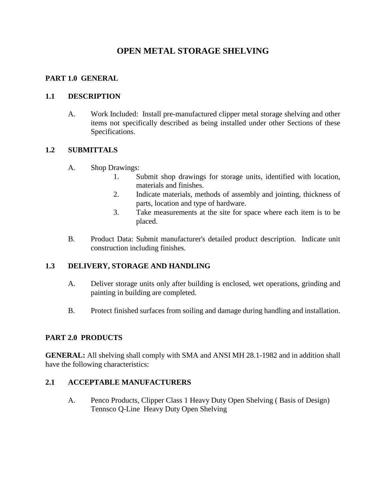# **OPEN METAL STORAGE SHELVING**

### **PART 1.0 GENERAL**

### **1.1 DESCRIPTION**

A. Work Included: Install pre-manufactured clipper metal storage shelving and other items not specifically described as being installed under other Sections of these Specifications.

# **1.2 SUBMITTALS**

- A. Shop Drawings:
	- 1. Submit shop drawings for storage units, identified with location, materials and finishes.
	- 2. Indicate materials, methods of assembly and jointing, thickness of parts, location and type of hardware.
	- 3. Take measurements at the site for space where each item is to be placed.
- B. Product Data: Submit manufacturer's detailed product description. Indicate unit construction including finishes.

# **1.3 DELIVERY, STORAGE AND HANDLING**

- A. Deliver storage units only after building is enclosed, wet operations, grinding and painting in building are completed.
- B. Protect finished surfaces from soiling and damage during handling and installation.

### **PART 2.0 PRODUCTS**

**GENERAL:** All shelving shall comply with SMA and ANSI MH 28.1-1982 and in addition shall have the following characteristics:

# **2.1 ACCEPTABLE MANUFACTURERS**

A. Penco Products, Clipper Class 1 Heavy Duty Open Shelving ( Basis of Design) Tennsco Q-Line Heavy Duty Open Shelving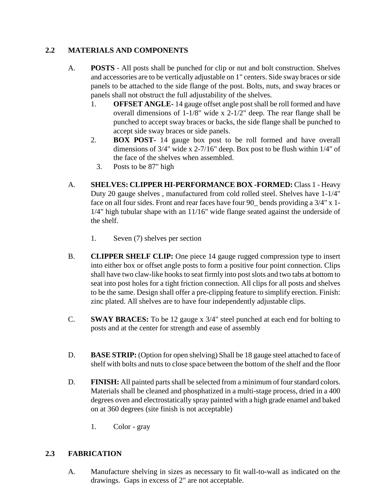# **2.2 MATERIALS AND COMPONENTS**

- A. **POSTS**  All posts shall be punched for clip or nut and bolt construction. Shelves and accessories are to be vertically adjustable on 1" centers. Side sway braces or side panels to be attached to the side flange of the post. Bolts, nuts, and sway braces or panels shall not obstruct the full adjustability of the shelves.
	- 1. **OFFSET ANGLE-** 14 gauge offset angle post shall be roll formed and have overall dimensions of 1-1/8" wide x 2-1/2" deep. The rear flange shall be punched to accept sway braces or backs, the side flange shall be punched to accept side sway braces or side panels.
	- 2. **BOX POST-** 14 gauge box post to be roll formed and have overall dimensions of 3/4" wide x 2-7/16" deep. Box post to be flush within 1/4" of the face of the shelves when assembled.
		- 3. Posts to be 87" high
- A. **SHELVES: CLIPPER HI-PERFORMANCE BOX -FORMED:** Class 1 Heavy Duty 20 gauge shelves , manufactured from cold rolled steel. Shelves have 1-1/4" face on all four sides. Front and rear faces have four 90\_ bends providing a 3/4" x 1- 1/4" high tubular shape with an 11/16" wide flange seated against the underside of the shelf.
	- 1. Seven (7) shelves per section
- B. **CLIPPER SHELF CLIP:** One piece 14 gauge rugged compression type to insert into either box or offset angle posts to form a positive four point connection. Clips shall have two claw-like hooks to seat firmly into post slots and two tabs at bottom to seat into post holes for a tight friction connection. All clips for all posts and shelves to be the same. Design shall offer a pre-clipping feature to simplify erection. Finish: zinc plated. All shelves are to have four independently adjustable clips.
- C. **SWAY BRACES:** To be 12 gauge x 3/4" steel punched at each end for bolting to posts and at the center for strength and ease of assembly
- D. **BASE STRIP:** (Option for open shelving) Shall be 18 gauge steel attached to face of shelf with bolts and nuts to close space between the bottom of the shelf and the floor
- D. **FINISH:** All painted parts shall be selected from a minimum of four standard colors. Materials shall be cleaned and phosphatized in a multi-stage process, dried in a 400 degrees oven and electrostatically spray painted with a high grade enamel and baked on at 360 degrees (site finish is not acceptable)
	- 1. Color gray

# **2.3 FABRICATION**

A. Manufacture shelving in sizes as necessary to fit wall-to-wall as indicated on the drawings. Gaps in excess of 2" are not acceptable.